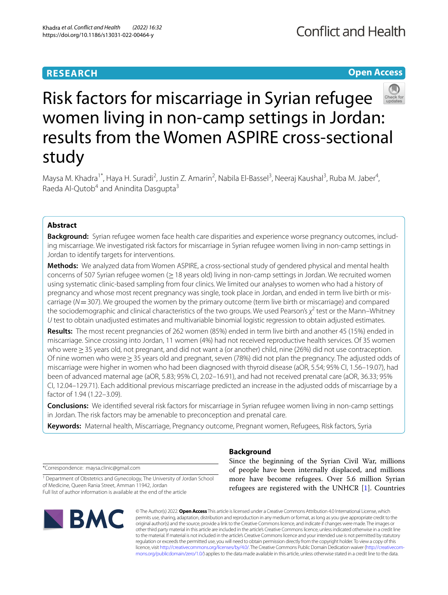# **RESEARCH**

# **Open Access**



# Risk factors for miscarriage in Syrian refugee women living in non-camp settings in Jordan: results from the Women ASPIRE cross-sectional study

Maysa M. Khadra<sup>1\*</sup>, Haya H. Suradi<sup>2</sup>, Justin Z. Amarin<sup>2</sup>, Nabila El-Bassel<sup>3</sup>, Neeraj Kaushal<sup>3</sup>, Ruba M. Jaber<sup>4</sup>, Raeda Al-Outob<sup>4</sup> and Anindita Dasgupta<sup>3</sup>

# **Abstract**

**Background:** Syrian refugee women face health care disparities and experience worse pregnancy outcomes, includ‑ ing miscarriage. We investigated risk factors for miscarriage in Syrian refugee women living in non-camp settings in Jordan to identify targets for interventions.

**Methods:** We analyzed data from Women ASPIRE, a cross-sectional study of gendered physical and mental health concerns of 507 Syrian refugee women (≥18 years old) living in non-camp settings in Jordan. We recruited women using systematic clinic-based sampling from four clinics. We limited our analyses to women who had a history of pregnancy and whose most recent pregnancy was single, took place in Jordan, and ended in term live birth or mis‑ carriage (*N*=307). We grouped the women by the primary outcome (term live birth or miscarriage) and compared the sociodemographic and clinical characteristics of the two groups. We used Pearson's χ<sup>2</sup> test or the Mann–Whitney *U* test to obtain unadjusted estimates and multivariable binomial logistic regression to obtain adjusted estimates.

**Results:** The most recent pregnancies of 262 women (85%) ended in term live birth and another 45 (15%) ended in miscarriage. Since crossing into Jordan, 11 women (4%) had not received reproductive health services. Of 35 women who were > 35 years old, not pregnant, and did not want a (or another) child, nine (26%) did not use contraception. Of nine women who were≥35 years old and pregnant, seven (78%) did not plan the pregnancy. The adjusted odds of miscarriage were higher in women who had been diagnosed with thyroid disease (aOR, 5.54; 95% CI, 1.56–19.07), had been of advanced maternal age (aOR, 5.83; 95% CI, 2.02–16.91), and had not received prenatal care (aOR, 36.33; 95% CI, 12.04–129.71). Each additional previous miscarriage predicted an increase in the adjusted odds of miscarriage by a factor of 1.94 (1.22–3.09).

**Conclusions:** We identifed several risk factors for miscarriage in Syrian refugee women living in non-camp settings in Jordan. The risk factors may be amenable to preconception and prenatal care.

**Keywords:** Maternal health, Miscarriage, Pregnancy outcome, Pregnant women, Refugees, Risk factors, Syria

\*Correspondence: maysa.clinic@gmail.com

<sup>1</sup> Department of Obstetrics and Gynecology, The University of Jordan School of Medicine, Queen Rania Street, Amman 11942, Jordan Full list of author information is available at the end of the article



# **Background**

Since the beginning of the Syrian Civil War, millions of people have been internally displaced, and millions more have become refugees. Over 5.6 million Syrian refugees are registered with the UNHCR [\[1\]](#page-8-0). Countries

© The Author(s) 2022. **Open Access** This article is licensed under a Creative Commons Attribution 4.0 International License, which permits use, sharing, adaptation, distribution and reproduction in any medium or format, as long as you give appropriate credit to the original author(s) and the source, provide a link to the Creative Commons licence, and indicate if changes were made. The images or other third party material in this article are included in the article's Creative Commons licence, unless indicated otherwise in a credit line to the material. If material is not included in the article's Creative Commons licence and your intended use is not permitted by statutory regulation or exceeds the permitted use, you will need to obtain permission directly from the copyright holder. To view a copy of this licence, visit [http://creativecommons.org/licenses/by/4.0/.](http://creativecommons.org/licenses/by/4.0/) The Creative Commons Public Domain Dedication waiver (http://creativecom[mons.org/publicdomain/zero/1.0/\)](http://creativecommons.org/publicdomain/zero/1.0/) applies to the data made available in this article, unless otherwise stated in a credit line to the data.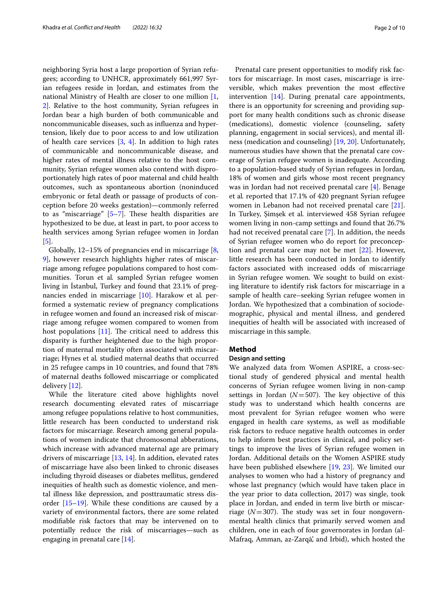neighboring Syria host a large proportion of Syrian refugees; according to UNHCR, approximately 661,997 Syrian refugees reside in Jordan, and estimates from the national Ministry of Health are closer to one million [\[1](#page-8-0), [2\]](#page-8-1). Relative to the host community, Syrian refugees in Jordan bear a high burden of both communicable and noncommunicable diseases, such as infuenza and hypertension, likely due to poor access to and low utilization of health care services [\[3](#page-8-2), [4\]](#page-8-3). In addition to high rates of communicable and noncommunicable disease, and higher rates of mental illness relative to the host community, Syrian refugee women also contend with disproportionately high rates of poor maternal and child health outcomes, such as spontaneous abortion (noninduced embryonic or fetal death or passage of products of conception before 20 weeks gestation)—commonly referred to as "miscarriage"  $[5-7]$  $[5-7]$ . These health disparities are hypothesized to be due, at least in part, to poor access to health services among Syrian refugee women in Jordan [[5\]](#page-8-4).

Globally, 12–15% of pregnancies end in miscarriage [\[8](#page-8-6), [9\]](#page-8-7), however research highlights higher rates of miscarriage among refugee populations compared to host communities. Torun et al*.* sampled Syrian refugee women living in İstanbul, Turkey and found that 23.1% of pregnancies ended in miscarriage [[10\]](#page-8-8). Harakow et al*.* performed a systematic review of pregnancy complications in refugee women and found an increased risk of miscarriage among refugee women compared to women from host populations  $[11]$  $[11]$ . The critical need to address this disparity is further heightened due to the high proportion of maternal mortality often associated with miscarriage; Hynes et al*.* studied maternal deaths that occurred in 25 refugee camps in 10 countries, and found that 78% of maternal deaths followed miscarriage or complicated delivery [[12](#page-8-10)].

While the literature cited above highlights novel research documenting elevated rates of miscarriage among refugee populations relative to host communities, little research has been conducted to understand risk factors for miscarriage. Research among general populations of women indicate that chromosomal abberations, which increase with advanced maternal age are primary drivers of miscarriage [[13,](#page-8-11) [14](#page-8-12)]. In addition, elevated rates of miscarriage have also been linked to chronic diseases including thyroid diseases or diabetes mellitus, gendered inequities of health such as domestic violence, and mental illness like depression, and posttraumatic stress disorder [\[15](#page-8-13)[–19\]](#page-8-14). While these conditions are caused by a variety of environmental factors, there are some related modifable risk factors that may be intervened on to potentially reduce the risk of miscarriages—such as engaging in prenatal care [[14](#page-8-12)].

Prenatal care present opportunities to modify risk factors for miscarriage. In most cases, miscarriage is irreversible, which makes prevention the most efective intervention [[14](#page-8-12)]. During prenatal care appointments, there is an opportunity for screening and providing support for many health conditions such as chronic disease (medications), domestic violence (counseling, safety planning, engagement in social services), and mental illness (medication and counseling) [\[19,](#page-8-14) [20\]](#page-8-15). Unfortunately, numerous studies have shown that the prenatal care coverage of Syrian refugee women is inadequate. According to a population-based study of Syrian refugees in Jordan, 18% of women and girls whose most recent pregnancy was in Jordan had not received prenatal care [[4\]](#page-8-3). Benage et al*.* reported that 17.1% of 420 pregnant Syrian refugee women in Lebanon had not received prenatal care [\[21](#page-8-16)]. In Turkey, Şimşek et al*.* interviewed 458 Syrian refugee women living in non-camp settings and found that 26.7% had not received prenatal care [\[7](#page-8-5)]. In addition, the needs of Syrian refugee women who do report for preconception and prenatal care may not be met [[22](#page-8-17)]. However, little research has been conducted in Jordan to identify factors associated with increased odds of miscarriage in Syrian refugee women. We sought to build on existing literature to identify risk factors for miscarriage in a sample of health care–seeking Syrian refugee women in Jordan. We hypothesized that a combination of sociodemographic, physical and mental illness, and gendered inequities of health will be associated with increased of miscarriage in this sample.

# **Method**

# **Design and setting**

We analyzed data from Women ASPIRE, a cross-sectional study of gendered physical and mental health concerns of Syrian refugee women living in non-camp settings in Jordan ( $N=507$ ). The key objective of this study was to understand which health concerns are most prevalent for Syrian refugee women who were engaged in health care systems, as well as modifable risk factors to reduce negative health outcomes in order to help inform best practices in clinical, and policy settings to improve the lives of Syrian refugee women in Jordan. Additional details on the Women ASPIRE study have been published elsewhere [[19](#page-8-14), [23\]](#page-8-18). We limited our analyses to women who had a history of pregnancy and whose last pregnancy (which would have taken place in the year prior to data collection, 2017) was single, took place in Jordan, and ended in term live birth or miscarriage  $(N=307)$ . The study was set in four nongovernmental health clinics that primarily served women and children, one in each of four governorates in Jordan (al-Mafraq, Amman, az-Zarqā', and Irbid), which hosted the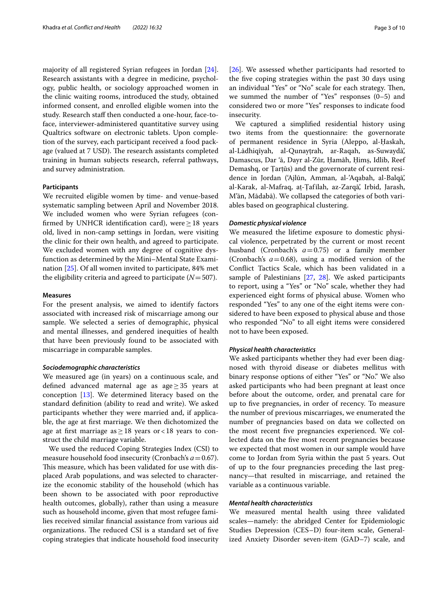majority of all registered Syrian refugees in Jordan [\[24](#page-8-19)]. Research assistants with a degree in medicine, psychology, public health, or sociology approached women in the clinic waiting rooms, introduced the study, obtained informed consent, and enrolled eligible women into the study. Research staff then conducted a one-hour, face-toface, interviewer-administered quantitative survey using Qualtrics software on electronic tablets. Upon completion of the survey, each participant received a food package (valued at 7 USD). The research assistants completed training in human subjects research, referral pathways, and survey administration.

### **Participants**

We recruited eligible women by time- and venue-based systematic sampling between April and November 2018. We included women who were Syrian refugees (confirmed by UNHCR identification card), were  $\geq 18$  years old, lived in non-camp settings in Jordan, were visiting the clinic for their own health, and agreed to participate. We excluded women with any degree of cognitive dysfunction as determined by the Mini–Mental State Examination [[25\]](#page-8-20). Of all women invited to participate, 84% met the eligibility criteria and agreed to participate  $(N=507)$ .

#### **Measures**

For the present analysis, we aimed to identify factors associated with increased risk of miscarriage among our sample. We selected a series of demographic, physical and mental illnesses, and gendered inequities of health that have been previously found to be associated with miscarriage in comparable samples.

#### *Sociodemographic characteristics*

We measured age (in years) on a continuous scale, and defned advanced maternal age as age≥35 years at conception [[13\]](#page-8-11). We determined literacy based on the standard defnition (ability to read and write). We asked participants whether they were married and, if applicable, the age at frst marriage. We then dichotomized the age at first marriage as  $\geq$  18 years or < 18 years to construct the child marriage variable.

We used the reduced Coping Strategies Index (CSI) to measure household food insecurity (Cronbach's *ɑ*=0.67). This measure, which has been validated for use with displaced Arab populations, and was selected to characterize the economic stability of the household (which has been shown to be associated with poor reproductive health outcomes, globally), rather than using a measure such as household income, given that most refugee families received similar fnancial assistance from various aid organizations. The reduced CSI is a standard set of five coping strategies that indicate household food insecurity [[26\]](#page-8-21). We assessed whether participants had resorted to the fve coping strategies within the past 30 days using an individual "Yes" or "No" scale for each strategy. Then, we summed the number of "Yes" responses (0–5) and considered two or more "Yes" responses to indicate food insecurity.

We captured a simplifed residential history using two items from the questionnaire: the governorate of permanent residence in Syria (Aleppo, al-Ḥaskah, al-Lādhiqīyah, al-Qunayṭrah, ar-Raqah, as-Suwaydā', Damascus, Dar 'ā, Dayr al-Zūr, Ḥamāh, Ḥimṣ, Idlib, Reef Demashq, or Ṭarṭūs) and the governorate of current residence in Jordan ('Ajlūn, Amman, al-'Aqabah, al-Balqā', al-Karak, al-Mafraq, aṭ-Ṭafīlah, az-Zarqā', Irbid, Jarash, M'ān, Mādabā). We collapsed the categories of both variables based on geographical clustering.

#### *Domestic physical violence*

We measured the lifetime exposure to domestic physical violence, perpetrated by the current or most recent husband (Cronbach's *ɑ*=0.75) or a family member (Cronbach's  $a = 0.68$ ), using a modified version of the Confict Tactics Scale, which has been validated in a sample of Palestinians [\[27,](#page-8-22) [28\]](#page-9-0). We asked participants to report, using a "Yes" or "No" scale, whether they had experienced eight forms of physical abuse. Women who responded "Yes" to any one of the eight items were considered to have been exposed to physical abuse and those who responded "No" to all eight items were considered not to have been exposed.

## *Physical health characteristics*

We asked participants whether they had ever been diagnosed with thyroid disease or diabetes mellitus with binary response options of either "Yes" or "No." We also asked participants who had been pregnant at least once before about the outcome, order, and prenatal care for up to fve pregnancies, in order of recency. To measure the number of previous miscarriages, we enumerated the number of pregnancies based on data we collected on the most recent fve pregnancies experienced. We collected data on the fve most recent pregnancies because we expected that most women in our sample would have come to Jordan from Syria within the past 5 years. Out of up to the four pregnancies preceding the last pregnancy—that resulted in miscarriage, and retained the variable as a continuous variable.

#### *Mental health characteristics*

We measured mental health using three validated scales—namely: the abridged Center for Epidemiologic Studies Depression (CES–D) four-item scale, Generalized Anxiety Disorder seven-item (GAD–7) scale, and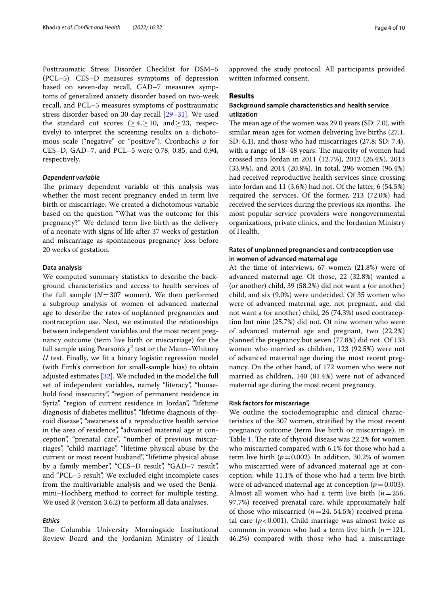Posttraumatic Stress Disorder Checklist for DSM–5 (PCL–5). CES–D measures symptoms of depression based on seven-day recall, GAD–7 measures symptoms of generalized anxiety disorder based on two-week recall, and PCL–5 measures symptoms of posttraumatic stress disorder based on 30-day recall [\[29](#page-9-1)[–31\]](#page-9-2). We used the standard cut scores ( $\geq 4, \geq 10$ , and  $\geq 23$ , respectively) to interpret the screening results on a dichotomous scale ("negative" or "positive"). Cronbach's *ɑ* for CES–D, GAD–7, and PCL–5 were 0.78, 0.85, and 0.94, respectively.

#### *Dependent variable*

The primary dependent variable of this analysis was whether the most recent pregnancy ended in term live birth or miscarriage. We created a dichotomous variable based on the question "What was the outcome for this pregnancy?" We defned term live birth as the delivery of a neonate with signs of life after 37 weeks of gestation and miscarriage as spontaneous pregnancy loss before 20 weeks of gestation.

## **Data analysis**

We computed summary statistics to describe the background characteristics and access to health services of the full sample  $(N=307$  women). We then performed a subgroup analysis of women of advanced maternal age to describe the rates of unplanned pregnancies and contraception use. Next, we estimated the relationships between independent variables and the most recent pregnancy outcome (term live birth or miscarriage) for the full sample using Pearson's  $\chi^2$  test or the Mann–Whitney *U* test. Finally, we ft a binary logistic regression model (with Firth's correction for small-sample bias) to obtain adjusted estimates [\[32\]](#page-9-3). We included in the model the full set of independent variables, namely "literacy", "household food insecurity", "region of permanent residence in Syria", "region of current residence in Jordan", "lifetime diagnosis of diabetes mellitus", "lifetime diagnosis of thyroid disease", "awareness of a reproductive health service in the area of residence", "advanced maternal age at conception", "prenatal care", "number of previous miscarriages", "child marriage", "lifetime physical abuse by the current or most recent husband", "lifetime physical abuse by a family member", "CES-D result", "GAD-7 result", and "PCL–5 result". We excluded eight incomplete cases from the multivariable analysis and we used the Benjamini–Hochberg method to correct for multiple testing. We used R (version 3.6.2) to perform all data analyses.

# *Ethics*

The Columbia University Morningside Institutional Review Board and the Jordanian Ministry of Health approved the study protocol. All participants provided written informed consent.

## **Results**

# **Background sample characteristics and health service utlization**

The mean age of the women was  $29.0$  years (SD: 7.0), with similar mean ages for women delivering live births (27.1, SD: 6.1), and those who had miscarriages (27.8; SD: 7.4), with a range of 18-48 years. The majority of women had crossed into Jordan in 2011 (12.7%), 2012 (26.4%), 2013 (33.9%), and 2014 (20.8%). In total, 296 women (96.4%) had received reproductive health services since crossing into Jordan and 11 (3.6%) had not. Of the latter, 6 (54.5%) required the services. Of the former, 213 (72.0%) had received the services during the previous six months. The most popular service providers were nongovernmental organizations, private clinics, and the Jordanian Ministry of Health.

# **Rates of unplanned pregnancies and contraception use in women of advanced maternal age**

At the time of interviews, 67 women (21.8%) were of advanced maternal age. Of those, 22 (32.8%) wanted a (or another) child, 39 (58.2%) did not want a (or another) child, and six (9.0%) were undecided. Of 35 women who were of advanced maternal age, not pregnant, and did not want a (or another) child, 26 (74.3%) used contraception but nine (25.7%) did not. Of nine women who were of advanced maternal age and pregnant, two (22.2%) planned the pregnancy but seven (77.8%) did not. Of 133 women who married as children, 123 (92.5%) were not of advanced maternal age during the most recent pregnancy. On the other hand, of 172 women who were not married as children, 140 (81.4%) were not of advanced maternal age during the most recent pregnancy.

### **Risk factors for miscarriage**

We outline the sociodemographic and clinical characteristics of the 307 women, stratifed by the most recent pregnancy outcome (term live birth or miscarriage), in Table [1](#page-4-0). The rate of thyroid disease was 22.2% for women who miscarried compared with 6.1% for those who had a term live birth ( $p=0.002$ ). In addition, 30.2% of women who miscarried were of advanced maternal age at conception, while 11.1% of those who had a term live birth were of advanced maternal age at conception  $(p=0.003)$ . Almost all women who had a term live birth (*n*=256, 97.7%) received prenatal care, while approximately half of those who miscarried (*n*=24, 54.5%) received prenatal care  $(p<0.001)$ . Child marriage was almost twice as common in women who had a term live birth (*n*=121, 46.2%) compared with those who had a miscarriage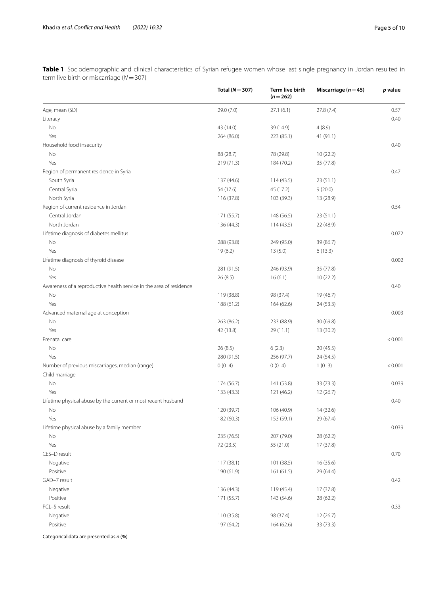<span id="page-4-0"></span>**Table 1** Sociodemographic and clinical characteristics of Syrian refugee women whose last single pregnancy in Jordan resulted in term live birth or miscarriage (*N*=307)

|                                                                     | Total ( $N = 307$ )      | <b>Term live birth</b><br>$(n=262)$ | Miscarriage ( $n = 45$ ) | p value |
|---------------------------------------------------------------------|--------------------------|-------------------------------------|--------------------------|---------|
| Age, mean (SD)                                                      | 29.0 (7.0)               | 27.1(6.1)                           | 27.8 (7.4)               | 0.57    |
| Literacy                                                            |                          |                                     |                          | 0.40    |
| No                                                                  | 43 (14.0)                | 39 (14.9)                           | 4(8.9)                   |         |
| Yes                                                                 | 264 (86.0)               | 223 (85.1)                          | 41 (91.1)                |         |
| Household food insecurity                                           |                          |                                     |                          | 0.40    |
| No                                                                  | 88 (28.7)                | 78 (29.8)                           | 10(22.2)                 |         |
| Yes                                                                 | 219 (71.3)               | 184 (70.2)                          | 35 (77.8)                |         |
| Region of permanent residence in Syria                              |                          |                                     |                          | 0.47    |
| South Syria                                                         | 137 (44.6)               | 114(43.5)                           | 23(51.1)                 |         |
| Central Syria                                                       | 54 (17.6)                | 45 (17.2)                           | 9(20.0)                  |         |
| North Syria                                                         | 116 (37.8)               | 103 (39.3)                          | 13 (28.9)                |         |
| Region of current residence in Jordan                               |                          |                                     |                          | 0.54    |
| Central Jordan                                                      | 171 (55.7)               | 148 (56.5)                          | 23(51.1)                 |         |
| North Jordan                                                        | 136 (44.3)               | 114(43.5)                           | 22 (48.9)                |         |
| Lifetime diagnosis of diabetes mellitus                             |                          |                                     |                          | 0.072   |
| No                                                                  | 288 (93.8)               | 249 (95.0)                          | 39 (86.7)                |         |
| Yes                                                                 | 19(6.2)                  | 13(5.0)                             | 6(13.3)                  |         |
| Lifetime diagnosis of thyroid disease                               |                          |                                     |                          | 0.002   |
| No                                                                  | 281 (91.5)               | 246 (93.9)                          | 35 (77.8)                |         |
| Yes                                                                 | 26(8.5)                  | 16(6.1)                             | 10(22.2)                 |         |
| Awareness of a reproductive health service in the area of residence |                          |                                     |                          | 0.40    |
| No                                                                  | 119 (38.8)               | 98 (37.4)                           | 19 (46.7)                |         |
| Yes                                                                 | 188 (61.2)               | 164 (62.6)                          | 24 (53.3)                |         |
| Advanced maternal age at conception                                 |                          |                                     |                          | 0.003   |
| No                                                                  | 263 (86.2)               | 233 (88.9)                          | 30 (69.8)                |         |
| Yes                                                                 | 42 (13.8)                | 29 (11.1)                           | 13 (30.2)                |         |
| Prenatal care                                                       |                          |                                     |                          | < 0.001 |
| No                                                                  | 26(8.5)                  | 6(2.3)                              | 20 (45.5)                |         |
| Yes                                                                 | 280 (91.5)               | 256 (97.7)                          | 24 (54.5)                |         |
| Number of previous miscarriages, median (range)                     | $0(0-4)$                 | $0(0-4)$                            | $1(0-3)$                 | < 0.001 |
| Child marriage                                                      |                          |                                     |                          |         |
| No                                                                  | 174 (56.7)               | 141 (53.8)                          | 33 (73.3)                | 0.039   |
| Yes                                                                 | 133 (43.3)               | 121 (46.2)                          | 12 (26.7)                |         |
| Lifetime physical abuse by the current or most recent husband       |                          |                                     |                          | 0.40    |
| No                                                                  | 120 (39.7)               | 106 (40.9)                          | 14 (32.6)                |         |
| Yes                                                                 | 182 (60.3)               | 153 (59.1)                          | 29 (67.4)                |         |
| Lifetime physical abuse by a family member                          |                          |                                     |                          | 0.039   |
| No                                                                  | 235 (76.5)               | 207 (79.0)                          | 28 (62.2)                |         |
| Yes                                                                 | 72 (23.5)                | 55 (21.0)                           | 17 (37.8)                |         |
| CES-D result                                                        |                          |                                     |                          | 0.70    |
| Negative                                                            | 117 (38.1)               | 101 (38.5)                          | 16 (35.6)                |         |
| Positive                                                            | 190 (61.9)               | 161 (61.5)                          | 29 (64.4)                |         |
| GAD-7 result                                                        |                          |                                     |                          | 0.42    |
|                                                                     |                          |                                     | 17(37.8)                 |         |
| Negative<br>Positive                                                | 136 (44.3)<br>171 (55.7) | 119 (45.4)<br>143 (54.6)            | 28 (62.2)                |         |
| PCL-5 result                                                        |                          |                                     |                          | 0.33    |
|                                                                     |                          |                                     |                          |         |
| Negative                                                            | 110 (35.8)               | 98 (37.4)                           | 12 (26.7)                |         |
| Positive                                                            | 197 (64.2)               | 164 (62.6)                          | 33 (73.3)                |         |

Categorical data are presented as *n* (%)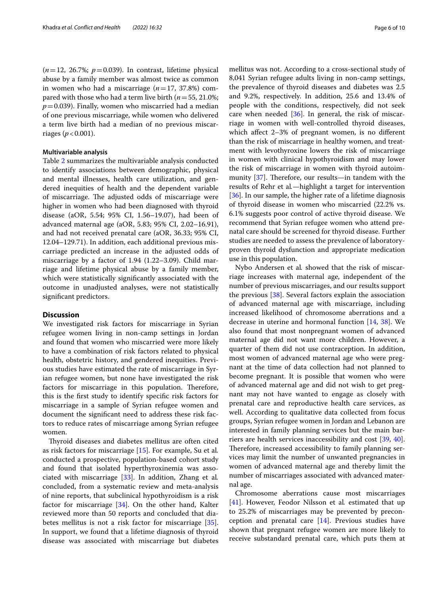$(n=12, 26.7\%; p=0.039)$ . In contrast, lifetime physical abuse by a family member was almost twice as common in women who had a miscarriage  $(n=17, 37.8%)$  compared with those who had a term live birth (*n*=55, 21.0%;  $p=0.039$ ). Finally, women who miscarried had a median of one previous miscarriage, while women who delivered a term live birth had a median of no previous miscarriages ( $p < 0.001$ ).

## **Multivariable analysis**

Table [2](#page-6-0) summarizes the multivariable analysis conducted to identify associations between demographic, physical and mental illnesses, health care utilization, and gendered inequities of health and the dependent variable of miscarriage. The adjusted odds of miscarriage were higher in women who had been diagnosed with thyroid disease (aOR, 5.54; 95% CI, 1.56–19.07), had been of advanced maternal age (aOR, 5.83; 95% CI, 2.02–16.91), and had not received prenatal care (aOR, 36.33; 95% CI, 12.04–129.71). In addition, each additional previous miscarriage predicted an increase in the adjusted odds of miscarriage by a factor of 1.94 (1.22–3.09). Child marriage and lifetime physical abuse by a family member, which were statistically signifcantly associated with the outcome in unadjusted analyses, were not statistically signifcant predictors.

# **Discussion**

We investigated risk factors for miscarriage in Syrian refugee women living in non-camp settings in Jordan and found that women who miscarried were more likely to have a combination of risk factors related to physical health, obstetric history, and gendered inequities. Previous studies have estimated the rate of miscarriage in Syrian refugee women, but none have investigated the risk factors for miscarriage in this population. Therefore, this is the frst study to identify specifc risk factors for miscarriage in a sample of Syrian refugee women and document the signifcant need to address these risk factors to reduce rates of miscarriage among Syrian refugee women.

Thyroid diseases and diabetes mellitus are often cited as risk factors for miscarriage [\[15](#page-8-13)]. For example, Su et al*.* conducted a prospective, population-based cohort study and found that isolated hyperthyroxinemia was associated with miscarriage [\[33\]](#page-9-4). In addition, Zhang et al*.* concluded, from a systematic review and meta-analysis of nine reports, that subclinical hypothyroidism is a risk factor for miscarriage [[34\]](#page-9-5). On the other hand, Kalter reviewed more than 50 reports and concluded that diabetes mellitus is not a risk factor for miscarriage [\[35](#page-9-6)]. In support, we found that a lifetime diagnosis of thyroid disease was associated with miscarriage but diabetes mellitus was not. According to a cross-sectional study of 8,041 Syrian refugee adults living in non-camp settings, the prevalence of thyroid diseases and diabetes was 2.5 and 9.2%, respectively. In addition, 25.6 and 13.4% of people with the conditions, respectively, did not seek care when needed  $[36]$  $[36]$ . In general, the risk of miscarriage in women with well-controlled thyroid diseases, which affect 2–3% of pregnant women, is no different than the risk of miscarriage in healthy women, and treatment with levothyroxine lowers the risk of miscarriage in women with clinical hypothyroidism and may lower the risk of miscarriage in women with thyroid autoimmunity  $[37]$  $[37]$  $[37]$ . Therefore, our results—in tandem with the results of Rehr et al*.*—highlight a target for intervention [[36\]](#page-9-7). In our sample, the higher rate of a lifetime diagnosis of thyroid disease in women who miscarried (22.2% vs. 6.1% suggests poor control of active thyroid disease. We recommend that Syrian refugee women who attend prenatal care should be screened for thyroid disease. Further studies are needed to assess the prevalence of laboratoryproven thyroid dysfunction and appropriate medication use in this population.

Nybo Andersen et al*.* showed that the risk of miscarriage increases with maternal age, independent of the number of previous miscarriages, and our results support the previous [\[38](#page-9-9)]. Several factors explain the association of advanced maternal age with miscarriage, including increased likelihood of chromosome aberrations and a decrease in uterine and hormonal function [[14,](#page-8-12) [38](#page-9-9)]. We also found that most nonpregnant women of advanced maternal age did not want more children. However, a quarter of them did not use contraception. In addition, most women of advanced maternal age who were pregnant at the time of data collection had not planned to become pregnant. It is possible that women who were of advanced maternal age and did not wish to get pregnant may not have wanted to engage as closely with prenatal care and reproductive health care services, as well. According to qualitative data collected from focus groups, Syrian refugee women in Jordan and Lebanon are interested in family planning services but the main barriers are health services inaccessibility and cost [\[39,](#page-9-10) [40](#page-9-11)]. Therefore, increased accessibility to family planning services may limit the number of unwanted pregnancies in women of advanced maternal age and thereby limit the number of miscarriages associated with advanced maternal age.

Chromosome aberrations cause most miscarriages [[41\]](#page-9-12). However, Feodor Nilsson et al*.* estimated that up to 25.2% of miscarriages may be prevented by preconception and prenatal care [\[14\]](#page-8-12). Previous studies have shown that pregnant refugee women are more likely to receive substandard prenatal care, which puts them at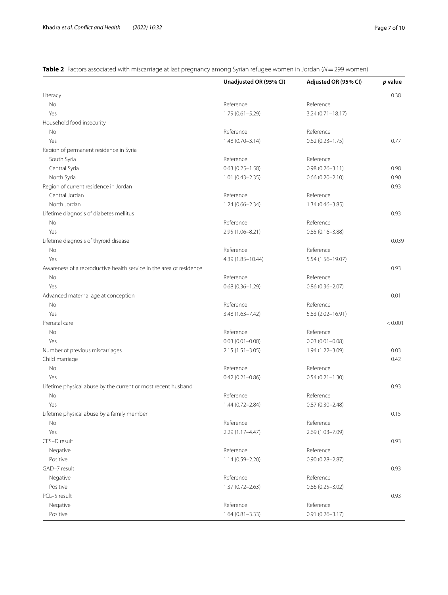<span id="page-6-0"></span>**Table 2** Factors associated with miscarriage at last pregnancy among Syrian refugee women in Jordan (*N*=299 women)

|                                                                     | Unadjusted OR (95% CI) | Adjusted OR (95% CI) | p value |
|---------------------------------------------------------------------|------------------------|----------------------|---------|
| Literacy                                                            |                        |                      | 0.38    |
| No                                                                  | Reference              | Reference            |         |
| Yes                                                                 | $1.79(0.61 - 5.29)$    | $3.24(0.71 - 18.17)$ |         |
| Household food insecurity                                           |                        |                      |         |
| No                                                                  | Reference              | Reference            |         |
| Yes                                                                 | $1.48(0.70 - 3.14)$    | $0.62(0.23 - 1.75)$  | 0.77    |
| Region of permanent residence in Syria                              |                        |                      |         |
| South Syria                                                         | Reference              | Reference            |         |
| Central Syria                                                       | $0.63(0.25 - 1.58)$    | $0.98(0.26 - 3.11)$  | 0.98    |
| North Syria                                                         | $1.01(0.43 - 2.35)$    | $0.66(0.20 - 2.10)$  | 0.90    |
| Region of current residence in Jordan                               |                        |                      | 0.93    |
| Central Jordan                                                      | Reference              | Reference            |         |
| North Jordan                                                        | $1.24(0.66 - 2.34)$    | $1.34(0.46 - 3.85)$  |         |
| Lifetime diagnosis of diabetes mellitus                             |                        |                      | 0.93    |
| No                                                                  | Reference              | Reference            |         |
| Yes                                                                 | 2.95 (1.06-8.21)       | $0.85(0.16 - 3.88)$  |         |
| Lifetime diagnosis of thyroid disease                               |                        |                      | 0.039   |
| No                                                                  | Reference              | Reference            |         |
| Yes                                                                 | 4.39 (1.85-10.44)      | 5.54 (1.56-19.07)    |         |
| Awareness of a reproductive health service in the area of residence |                        |                      | 0.93    |
| No                                                                  | Reference              | Reference            |         |
| Yes                                                                 | $0.68(0.36 - 1.29)$    | $0.86(0.36 - 2.07)$  |         |
| Advanced maternal age at conception                                 |                        |                      | 0.01    |
| No                                                                  | Reference              | Reference            |         |
| Yes                                                                 | 3.48 (1.63-7.42)       | 5.83 (2.02-16.91)    |         |
| Prenatal care                                                       |                        |                      | < 0.001 |
| No                                                                  | Reference              | Reference            |         |
| Yes                                                                 | $0.03(0.01 - 0.08)$    | $0.03(0.01 - 0.08)$  |         |
| Number of previous miscarriages                                     | $2.15(1.51 - 3.05)$    | 1.94 (1.22-3.09)     | 0.03    |
| Child marriage                                                      |                        |                      | 0.42    |
| No                                                                  | Reference              | Reference            |         |
| Yes                                                                 | $0.42(0.21 - 0.86)$    | $0.54(0.21 - 1.30)$  |         |
| Lifetime physical abuse by the current or most recent husband       |                        |                      | 0.93    |
| No                                                                  | Reference              | Reference            |         |
| Yes                                                                 | $1.44(0.72 - 2.84)$    | $0.87(0.30 - 2.48)$  |         |
| Lifetime physical abuse by a family member                          |                        |                      | 0.15    |
| No                                                                  | Reference              | Reference            |         |
| Yes                                                                 | $2.29(1.17 - 4.47)$    | 2.69 (1.03-7.09)     |         |
| CES-D result                                                        |                        |                      | 0.93    |
| Negative                                                            | Reference              | Reference            |         |
| Positive                                                            | $1.14(0.59 - 2.20)$    | $0.90(0.28 - 2.87)$  |         |
| GAD-7 result                                                        |                        |                      | 0.93    |
| Negative                                                            | Reference              | Reference            |         |
| Positive                                                            | $1.37(0.72 - 2.63)$    | $0.86(0.25 - 3.02)$  |         |
| PCL-5 result                                                        |                        |                      | 0.93    |
| Negative                                                            | Reference              | Reference            |         |
| Positive                                                            | $1.64(0.81 - 3.33)$    | $0.91(0.26 - 3.17)$  |         |
|                                                                     |                        |                      |         |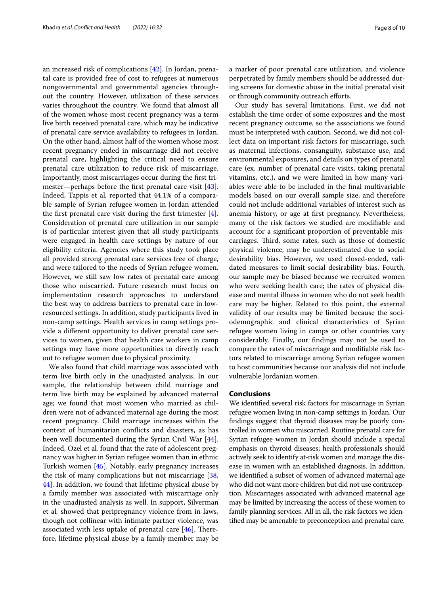an increased risk of complications [\[42](#page-9-13)]. In Jordan, prenatal care is provided free of cost to refugees at numerous nongovernmental and governmental agencies throughout the country. However, utilization of these services varies throughout the country. We found that almost all of the women whose most recent pregnancy was a term live birth received prenatal care, which may be indicative of prenatal care service availability to refugees in Jordan. On the other hand, almost half of the women whose most recent pregnancy ended in miscarriage did not receive prenatal care, highlighting the critical need to ensure prenatal care utilization to reduce risk of miscarriage. Importantly, most miscarriages occur during the frst trimester—perhaps before the frst prenatal care visit [\[43](#page-9-14)]. Indeed, Tappis et al*.* reported that 44.1% of a comparable sample of Syrian refugee women in Jordan attended the first prenatal care visit during the first trimester  $[4]$  $[4]$ . Consideration of prenatal care utilization in our sample is of particular interest given that all study participants were engaged in health care settings by nature of our eligibility criteria. Agencies where this study took place all provided strong prenatal care services free of charge, and were tailored to the needs of Syrian refugee women. However, we still saw low rates of prenatal care among those who miscarried. Future research must focus on implementation research approaches to understand the best way to address barriers to prenatal care in lowresourced settings. In addition, study participants lived in non-camp settings. Health services in camp settings provide a diferent opportunity to deliver prenatal care services to women, given that health care workers in camp settings may have more opportunities to directly reach out to refugee women due to physical proximity.

We also found that child marriage was associated with term live birth only in the unadjusted analysis. In our sample, the relationship between child marriage and term live birth may be explained by advanced maternal age; we found that most women who married as children were not of advanced maternal age during the most recent pregnancy. Child marriage increases within the context of humanitarian conficts and disasters, as has been well documented during the Syrian Civil War [\[44](#page-9-15)]. Indeed, Ozel et al*.* found that the rate of adolescent pregnancy was higher in Syrian refugee women than in ethnic Turkish women [[45\]](#page-9-16). Notably, early pregnancy increases the risk of many complications but not miscarriage [\[38](#page-9-9), [44\]](#page-9-15). In addition, we found that lifetime physical abuse by a family member was associated with miscarriage only in the unadjusted analysis as well. In support, Silverman et al*.* showed that peripregnancy violence from in-laws, though not collinear with intimate partner violence, was associated with less uptake of prenatal care  $[46]$  $[46]$ . Therefore, lifetime physical abuse by a family member may be a marker of poor prenatal care utilization, and violence perpetrated by family members should be addressed during screens for domestic abuse in the initial prenatal visit or through community outreach eforts.

Our study has several limitations. First, we did not establish the time order of some exposures and the most recent pregnancy outcome, so the associations we found must be interpreted with caution. Second, we did not collect data on important risk factors for miscarriage, such as maternal infections, consanguity, substance use, and environmental exposures, and details on types of prenatal care (ex. number of prenatal care visits, taking prenatal vitamins, etc.), and we were limited in how many variables were able to be included in the fnal multivariable models based on our overall sample size, and therefore could not include additional variables of interest such as anemia history, or age at frst pregnancy. Nevertheless, many of the risk factors we studied are modifable and account for a signifcant proportion of preventable miscarriages. Third, some rates, such as those of domestic physical violence, may be underestimated due to social desirability bias. However, we used closed-ended, validated measures to limit social desirability bias. Fourth, our sample may be biased because we recruited women who were seeking health care; the rates of physical disease and mental illness in women who do not seek health care may be higher. Related to this point, the external validity of our results may be limited because the sociodemographic and clinical characteristics of Syrian refugee women living in camps or other countries vary considerably. Finally, our fndings may not be used to compare the rates of miscarriage and modifable risk factors related to miscarriage among Syrian refugee women to host communities because our analysis did not include vulnerable Jordanian women.

### **Conclusions**

We identifed several risk factors for miscarriage in Syrian refugee women living in non-camp settings in Jordan. Our fndings suggest that thyroid diseases may be poorly controlled in women who miscarried. Routine prenatal care for Syrian refugee women in Jordan should include a special emphasis on thyroid diseases; health professionals should actively seek to identify at-risk women and manage the disease in women with an established diagnosis. In addition, we identifed a subset of women of advanced maternal age who did not want more children but did not use contraception. Miscarriages associated with advanced maternal age may be limited by increasing the access of these women to family planning services. All in all, the risk factors we identifed may be amenable to preconception and prenatal care.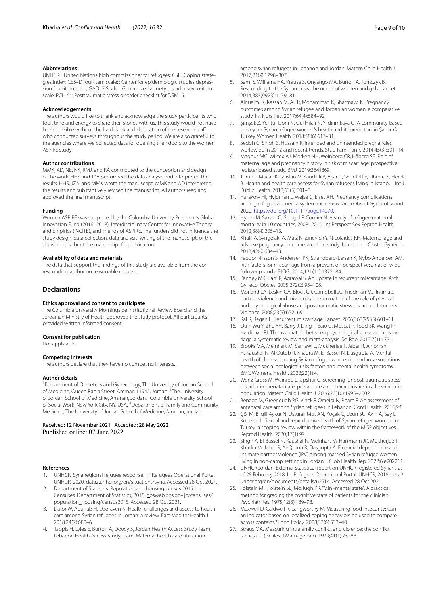#### **Abbreviations**

UNHCR: : United Nations high commissioner for refugees; CSI: : Coping strate‑ gies index; CES-D four-item scale: : Center for epidemiologic studies depression four-item scale; GAD–7 Scale: : Generalized anxiety disorder seven-item scale; PCL–5: : Posttraumatic stress disorder checklist for DSM–5.

#### **Acknowledgements**

The authors would like to thank and acknowledge the study participants who took time and energy to share their stories with us. This study would not have been possible without the hard work and dedication of the research staf who conducted surveys throughout the study period. We are also grateful to the agencies where we collected data for opening their doors to the Women ASPIRE study.

### **Author contributions**

MMK, AD, NE, NK, RMJ, and RA contributed to the conception and design of the work. HHS and JZA performed the data analysis and interpreted the results. HHS, JZA, and MMK wrote the manuscript. MMK and AD interpreted the results and substantively revised the manuscript. All authors read and approved the fnal manuscript.

#### **Funding**

Women ASPIRE was supported by the Columbia University President's Global Innovation Fund (2016–2018), Interdisciplinary Center for Innovative Theory and Empirics (INCITE), and Friends of ASPIRE. The funders did not infuence the study design, data collection, data analysis, writing of the manuscript, or the decision to submit the manuscript for publication.

### **Availability of data and materials**

The data that support the findings of this study are available from the corresponding author on reasonable request.

#### **Declarations**

#### **Ethics approval and consent to participate**

The Columbia University Morningside Institutional Review Board and the Jordanian Ministry of Health approved the study protocol. All participants provided written informed consent.

#### **Consent for publication**

Not applicable.

#### **Competing interests**

The authors declare that they have no competing interests.

#### **Author details**

<sup>1</sup> Department of Obstetrics and Gynecology, The University of Jordan School of Medicine, Queen Rania Street, Amman 11942, Jordan. <sup>2</sup>The University of Jordan School of Medicine, Amman, Jordan. <sup>3</sup>Columbia University School of Social Work, New York City, NY, USA. <sup>4</sup>Department of Family and Community Medicine, The University of Jordan School of Medicine, Amman, Jordan.

## Received: 12 November 2021 Accepted: 28 May 2022 Published online: 07 June 2022

#### **References**

- <span id="page-8-0"></span>1. UNHCR. Syria regional refugee response. In: Refugees Operational Portal. UNHCR; 2020. data2.unhcr.org/en/situations/syria. Accessed 28 Oct 2021.
- <span id="page-8-1"></span>2. Department of Statistics. Population and housing census 2015. In: Censuses. Department of Statistics; 2015. dosweb.dos.gov.jo/censuses/ population\_housing/census2015. Accessed 28 Oct 2021.
- <span id="page-8-2"></span>3. Dator W, Abunab H, Dao-ayen N. Health challenges and access to health care among Syrian refugees in Jordan: a review. East Mediter Health J. 2018;24(7):680–6.
- <span id="page-8-3"></span>Tappis H, Lyles E, Burton A, Doocy S, Jordan Health Access Study Team, Lebanon Health Access Study Team. Maternal health care utilization

among syrian refugees in Lebanon and Jordan. Matern Child Health J. 2017;21(9):1798–807.

- <span id="page-8-4"></span>5. Sami S, Williams HA, Krause S, Onyango MA, Burton A, Tomczyk B. Responding to the Syrian crisis: the needs of women and girls. Lancet. 2014;383(9923):1179–81.
- 6. Alnuaimi K, Kassab M, Ali R, Mohammad K, Shattnawi K. Pregnancy outcomes among Syrian refugee and Jordanian women: a comparative study. Int Nurs Rev. 2017;64(4):584–92.
- <span id="page-8-5"></span>7. Şimşek Z, Yentur Doni N, Gül Hilali N, Yildirimkaya G. A community-based survey on Syrian refugee women's health and its predictors in Şanliurfa Turkey. Women Health. 2018;58(6):617–31.
- <span id="page-8-6"></span>8. Sedgh G, Singh S, Hussain R. Intended and unintended pregnancies worldwide in 2012 and recent trends. Stud Fam Plann. 2014;45(3):301–14.
- <span id="page-8-7"></span>9. Magnus MC, Wilcox AJ, Morken NH, Weinberg CR, Håberg SE. Role of maternal age and pregnancy history in risk of miscarriage: prospective register based study. BMJ. 2019;364:l869.
- <span id="page-8-8"></span>10. Torun P, Mücaz Karaaslan M, Sandıklı B, Acar C, Shurtlef E, Dhrolia S, Herek B. Health and health care access for Syrian refugees living in İstanbul. Int J Public Health. 2018;63(5):601–8.
- <span id="page-8-9"></span>11. Harakow HI, Hvidman L, Wejse C, Eiset AH. Pregnancy complications among refugee women: a systematic review. Acta Obstet Gynecol Scand. 2020. [https://doi.org/10.1111/aogs.14070.](https://doi.org/10.1111/aogs.14070)
- <span id="page-8-10"></span>12. Hynes M, Sakani O, Spiegel P, Cornier N. A study of refugee maternal mortality in 10 countries, 2008–2010. Int Perspect Sex Reprod Health. 2012;38(4):205–13.
- <span id="page-8-11"></span>13. Khalil A, Syngelaki A, Maiz N, Zinevich Y, Nicolaides KH. Maternal age and adverse pregnancy outcome: a cohort study. Ultrasound Obstet Gynecol. 2013;42(6):634–43.
- <span id="page-8-12"></span>14. Feodor Nilsson S, Andersen PK, Strandberg-Larsen K, Nybo Andersen AM. Risk factors for miscarriage from a prevention perspective: a nationwide follow-up study. BJOG. 2014;121(11):1375–84.
- <span id="page-8-13"></span>15. Pandey MK, Rani R, Agrawal S. An update in recurrent miscarriage. Arch Gynecol Obstet. 2005;272(2):95–108.
- 16. Morland LA, Leskin GA, Block CR, Campbell JC, Friedman MJ. Intimate partner violence and miscarriage: examination of the role of physical and psychological abuse and posttraumatic stress disorder. J Interpers Violence. 2008;23(5):652–69.
- 17. Rai R, Regan L. Recurrent miscarriage. Lancet. 2006;368(9535):601–11.
- 18. Qu F, Wu Y, Zhu YH, Barry J, Ding T, Baio G, Muscat R, Todd BK, Wang FF, Hardiman PJ. The association between psychological stress and miscarriage: a systematic review and meta-analysis. Sci Rep. 2017;7(1):1731.
- <span id="page-8-14"></span>19. Brooks MA, Meinhart M, Samawi L, Mukherjee T, Jaber R, Alhomsh H, Kaushal N, Al Qutob R, Khadra M, El-Bassel N, Dasgupta A. Mental health of clinic-attending Syrian refugee women in Jordan: associations between social ecological risks factors and mental health symptoms. BMC Womens Health. 2022;22(1):4.
- <span id="page-8-15"></span>20. Wenz-Gross M, Weinreb L, Upshur C. Screening for post-traumatic stress disorder in prenatal care: prevalence and characteristics in a low-income population. Matern Child Health J. 2016;20(10):1995–2002.
- <span id="page-8-16"></span>21. Benage M, Greenough PG, Vinck P, Omeira N, Pham P. An assessment of antenatal care among Syrian refugees in Lebanon. Confl Health. 2015;9:8.
- <span id="page-8-17"></span>22. Çöl M, Bilgili Aykut N, Usturalı Mut AN, Koçak C, Uzun SU, Akın A, Say L, Kobeissi L. Sexual and reproductive health of Syrian refugee women in Turkey: a scoping review within the framework of the MISP objectives. Reprod Health. 2020;17(1):99.
- <span id="page-8-18"></span>23. Singh A, El-Bassel N, Kaushal N, Meinhart M, Hartmann JK, Mukherjee T, Khadra M, Jaber R, Al-Qutob R, Dasgupta A. Financial dependence and intimate partner violence (IPV) among married Syrian refugee women living in non-camp settings in Jordan. J Glob Health Rep. 2022;6:e202211.
- <span id="page-8-19"></span>24. UNHCR Jordan. External statistical report on UNHCR registered Syrians as of 28 February 2018. In: Refugees Operational Portal. UNHCR; 2018. data2. unhcr.org/en/documents/details/62514. Accessed 28 Oct 2021.
- <span id="page-8-20"></span>25. Folstein MF, Folstein SE, McHugh PR. "Mini-mental state". A practical method for grading the cognitive state of patients for the clinician. J Psychiatr Res. 1975;12(3):189–98.
- <span id="page-8-21"></span>26. Maxwell D, Caldwell R, Langworthy M. Measuring food insecurity: Can an indicator based on localized coping behaviors be used to compare across contexts? Food Policy. 2008;33(6):533–40.
- <span id="page-8-22"></span>27. Straus MA. Measuring intrafamily confict and violence: the confict tactics (CT) scales. J Marriage Fam. 1979;41(1):75–88.